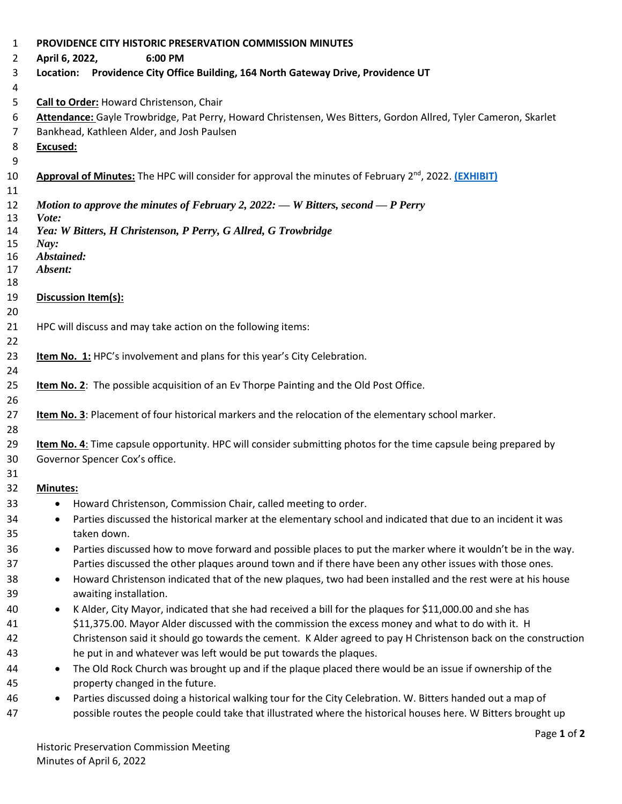| 1        | PROVIDENCE CITY HISTORIC PRESERVATION COMMISSION MINUTES                                                                          |
|----------|-----------------------------------------------------------------------------------------------------------------------------------|
| 2        | April 6, 2022,<br>6:00 PM                                                                                                         |
| 3        | Location: Providence City Office Building, 164 North Gateway Drive, Providence UT                                                 |
| 4        |                                                                                                                                   |
| 5        | Call to Order: Howard Christenson, Chair                                                                                          |
| 6        | Attendance: Gayle Trowbridge, Pat Perry, Howard Christensen, Wes Bitters, Gordon Allred, Tyler Cameron, Skarlet                   |
| 7        | Bankhead, Kathleen Alder, and Josh Paulsen                                                                                        |
| 8        | Excused:                                                                                                                          |
| 9        |                                                                                                                                   |
| 10       | Approval of Minutes: The HPC will consider for approval the minutes of February 2 <sup>nd</sup> , 2022. (EXHIBIT)                 |
| 11       |                                                                                                                                   |
| 12       | Motion to approve the minutes of February 2, 2022: $-$ W Bitters, second $-$ P Perry                                              |
| 13       | Vote:                                                                                                                             |
| 14<br>15 | Yea: W Bitters, H Christenson, P Perry, G Allred, G Trowbridge<br>Nay:                                                            |
| 16       | Abstained:                                                                                                                        |
| 17       | Absent:                                                                                                                           |
| 18       |                                                                                                                                   |
| 19       | Discussion Item(s):                                                                                                               |
| 20       |                                                                                                                                   |
| 21       | HPC will discuss and may take action on the following items:                                                                      |
| 22       |                                                                                                                                   |
| 23       | Item No. 1: HPC's involvement and plans for this year's City Celebration.                                                         |
| 24       |                                                                                                                                   |
| 25       | Item No. 2: The possible acquisition of an Ev Thorpe Painting and the Old Post Office.                                            |
| 26       |                                                                                                                                   |
| 27       | Item No. 3: Placement of four historical markers and the relocation of the elementary school marker.                              |
| 28       |                                                                                                                                   |
| 29       | Item No. 4: Time capsule opportunity. HPC will consider submitting photos for the time capsule being prepared by                  |
| 30       | Governor Spencer Cox's office.                                                                                                    |
| 31       |                                                                                                                                   |
| 32       | <b>Minutes:</b>                                                                                                                   |
| 33       | Howard Christenson, Commission Chair, called meeting to order.<br>٠                                                               |
| 34<br>35 | Parties discussed the historical marker at the elementary school and indicated that due to an incident it was<br>٠<br>taken down. |
| 36       | Parties discussed how to move forward and possible places to put the marker where it wouldn't be in the way.<br>$\bullet$         |
| 37       | Parties discussed the other plaques around town and if there have been any other issues with those ones.                          |
| 38       | Howard Christenson indicated that of the new plaques, two had been installed and the rest were at his house<br>٠                  |
| 39       | awaiting installation.                                                                                                            |
| 40       | K Alder, City Mayor, indicated that she had received a bill for the plaques for \$11,000.00 and she has<br>٠                      |
| 41       | \$11,375.00. Mayor Alder discussed with the commission the excess money and what to do with it. H                                 |
| 42       | Christenson said it should go towards the cement. K Alder agreed to pay H Christenson back on the construction                    |
| 43       | he put in and whatever was left would be put towards the plaques.                                                                 |
| 44       | The Old Rock Church was brought up and if the plaque placed there would be an issue if ownership of the<br>٠                      |
| 45       | property changed in the future.                                                                                                   |
| 46       | Parties discussed doing a historical walking tour for the City Celebration. W. Bitters handed out a map of<br>$\bullet$           |
| 47       | possible routes the people could take that illustrated where the historical houses here. W Bitters brought up                     |
|          |                                                                                                                                   |